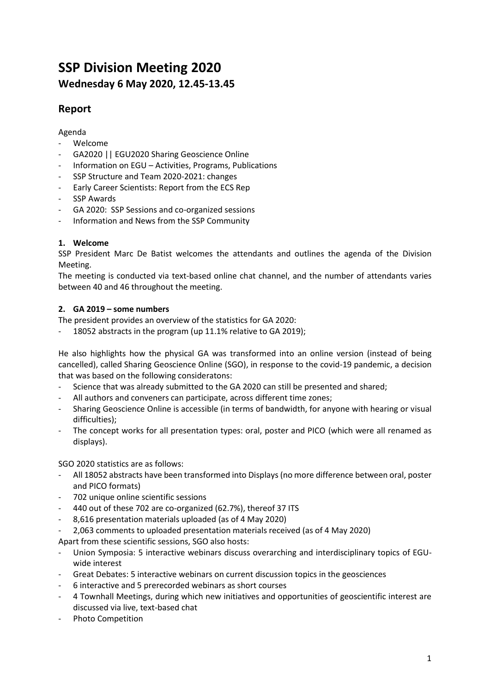# **SSP Division Meeting 2020 Wednesday 6 May 2020, 12.45-13.45**

## **Report**

## Agenda

- Welcome
- GA2020 || EGU2020 Sharing Geoscience Online
- Information on EGU Activities, Programs, Publications
- SSP Structure and Team 2020-2021: changes
- Early Career Scientists: Report from the ECS Rep
- SSP Awards
- GA 2020: SSP Sessions and co-organized sessions
- Information and News from the SSP Community

## **1. Welcome**

SSP President Marc De Batist welcomes the attendants and outlines the agenda of the Division Meeting.

The meeting is conducted via text-based online chat channel, and the number of attendants varies between 40 and 46 throughout the meeting.

## **2. GA 2019 – some numbers**

The president provides an overview of the statistics for GA 2020:

18052 abstracts in the program (up 11.1% relative to GA 2019);

He also highlights how the physical GA was transformed into an online version (instead of being cancelled), called Sharing Geoscience Online (SGO), in response to the covid-19 pandemic, a decision that was based on the following consideratons:

- Science that was already submitted to the GA 2020 can still be presented and shared;
- All authors and conveners can participate, across different time zones;
- Sharing Geoscience Online is accessible (in terms of bandwidth, for anyone with hearing or visual difficulties);
- The concept works for all presentation types: oral, poster and PICO (which were all renamed as displays).

SGO 2020 statistics are as follows:

- All 18052 abstracts have been transformed into Displays (no more difference between oral, poster and PICO formats)
- 702 unique online scientific sessions
- 440 out of these 702 are co-organized (62.7%), thereof 37 ITS
- 8,616 presentation materials uploaded (as of 4 May 2020)
- 2,063 comments to uploaded presentation materials received (as of 4 May 2020)

Apart from these scientific sessions, SGO also hosts:

- Union Symposia: 5 interactive webinars discuss overarching and interdisciplinary topics of EGUwide interest
- Great Debates: 5 interactive webinars on current discussion topics in the geosciences
- 6 interactive and 5 prerecorded webinars as short courses
- 4 Townhall Meetings, during which new initiatives and opportunities of geoscientific interest are discussed via live, text-based chat
- Photo Competition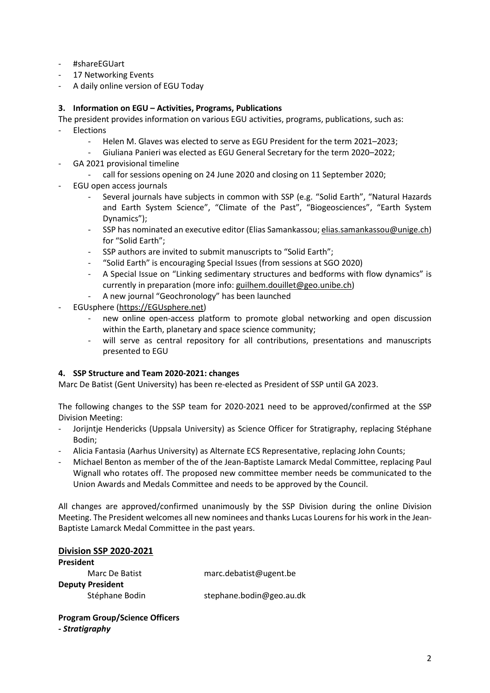- #shareEGUart
- 17 Networking Events
- A daily online version of EGU Today

#### **3. Information on EGU – Activities, Programs, Publications**

The president provides information on various EGU activities, programs, publications, such as: **Flections** 

- Helen M. Glaves was elected to serve as EGU President for the term 2021–2023;
	- Giuliana Panieri was elected as EGU General Secretary for the term 2020-2022;
- GA 2021 provisional timeline
	- call for sessions opening on 24 June 2020 and closing on 11 September 2020;
- EGU open access journals
	- Several journals have subjects in common with SSP (e.g. "Solid Earth", "Natural Hazards and Earth System Science", "Climate of the Past", "Biogeosciences", "Earth System Dynamics");
	- SSP has nominated an executive editor (Elias Samankassou[; elias.samankassou@unige.ch\)](mailto:elias.samankassou@unige.ch) for "Solid Earth";
	- SSP authors are invited to submit manuscripts to "Solid Earth";
	- "Solid Earth" is encouraging Special Issues (from sessions at SGO 2020)
	- A Special Issue on "Linking sedimentary structures and bedforms with flow dynamics" is currently in preparation (more info: [guilhem.douillet@geo.unibe.ch\)](mailto:guilhem.douillet@geo.unibe.ch)
	- A new journal "Geochronology" has been launched
- EGUsphere [\(https://EGUsphere.net\)](https://egusphere.net/)
	- new online open-access platform to promote global networking and open discussion within the Earth, planetary and space science community;
	- will serve as central repository for all contributions, presentations and manuscripts presented to EGU

#### **4. SSP Structure and Team 2020-2021: changes**

Marc De Batist (Gent University) has been re-elected as President of SSP until GA 2023.

The following changes to the SSP team for 2020-2021 need to be approved/confirmed at the SSP Division Meeting:

- Jorijntje Hendericks (Uppsala University) as Science Officer for Stratigraphy, replacing Stéphane Bodin;
- Alicia Fantasia (Aarhus University) as Alternate ECS Representative, replacing John Counts;
- Michael Benton as member of the of the Jean-Baptiste Lamarck Medal Committee, replacing Paul Wignall who rotates off. The proposed new committee member needs be communicated to the Union Awards and Medals Committee and needs to be approved by the Council.

All changes are approved/confirmed unanimously by the SSP Division during the online Division Meeting. The President welcomes all new nominees and thanks Lucas Lourens for his work in the Jean-Baptiste Lamarck Medal Committee in the past years.

#### **Division SSP 2020-2021 President**

| <b>FIESIUEIIL</b>       |                          |
|-------------------------|--------------------------|
| Marc De Batist          | marc.debatist@ugent.be   |
| <b>Deputy President</b> |                          |
| Stéphane Bodin          | stephane.bodin@geo.au.dk |

#### **Program Group/Science Officers** *- Stratigraphy*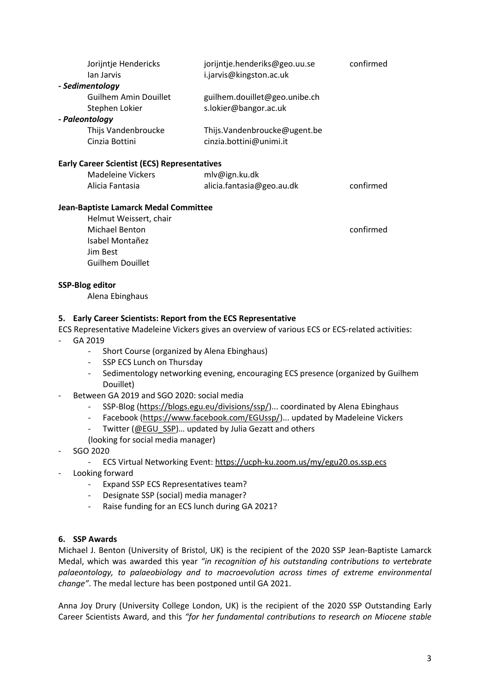|                                                                         | Jorijntje Hendericks                                                                          | jorijntje.henderiks@geo.uu.se                                                                    | confirmed |  |  |
|-------------------------------------------------------------------------|-----------------------------------------------------------------------------------------------|--------------------------------------------------------------------------------------------------|-----------|--|--|
|                                                                         | Ian Jarvis                                                                                    | i.jarvis@kingston.ac.uk                                                                          |           |  |  |
|                                                                         | - Sedimentology                                                                               |                                                                                                  |           |  |  |
|                                                                         | <b>Guilhem Amin Douillet</b>                                                                  | guilhem.douillet@geo.unibe.ch                                                                    |           |  |  |
|                                                                         | Stephen Lokier                                                                                | s.lokier@bangor.ac.uk                                                                            |           |  |  |
|                                                                         | - Paleontology                                                                                |                                                                                                  |           |  |  |
|                                                                         | Thijs Vandenbroucke                                                                           | Thijs.Vandenbroucke@ugent.be                                                                     |           |  |  |
|                                                                         | Cinzia Bottini                                                                                | cinzia.bottini@unimi.it                                                                          |           |  |  |
|                                                                         | <b>Early Career Scientist (ECS) Representatives</b>                                           |                                                                                                  |           |  |  |
|                                                                         | <b>Madeleine Vickers</b>                                                                      | mlv@ign.ku.dk                                                                                    |           |  |  |
|                                                                         | Alicia Fantasia                                                                               | alicia.fantasia@geo.au.dk                                                                        | confirmed |  |  |
|                                                                         |                                                                                               |                                                                                                  |           |  |  |
|                                                                         | Jean-Baptiste Lamarck Medal Committee                                                         |                                                                                                  |           |  |  |
|                                                                         | Helmut Weissert, chair                                                                        |                                                                                                  |           |  |  |
|                                                                         | <b>Michael Benton</b>                                                                         |                                                                                                  | confirmed |  |  |
|                                                                         | Isabel Montañez                                                                               |                                                                                                  |           |  |  |
|                                                                         | Jim Best                                                                                      |                                                                                                  |           |  |  |
|                                                                         | <b>Guilhem Douillet</b>                                                                       |                                                                                                  |           |  |  |
|                                                                         | <b>SSP-Blog editor</b>                                                                        |                                                                                                  |           |  |  |
|                                                                         | Alena Ebinghaus                                                                               |                                                                                                  |           |  |  |
|                                                                         |                                                                                               |                                                                                                  |           |  |  |
|                                                                         | 5. Early Career Scientists: Report from the ECS Representative                                |                                                                                                  |           |  |  |
|                                                                         |                                                                                               | ECS Representative Madeleine Vickers gives an overview of various ECS or ECS-related activities: |           |  |  |
|                                                                         | GA 2019                                                                                       |                                                                                                  |           |  |  |
| Short Course (organized by Alena Ebinghaus)<br>$\overline{\phantom{a}}$ |                                                                                               |                                                                                                  |           |  |  |
|                                                                         | SSP ECS Lunch on Thursday                                                                     |                                                                                                  |           |  |  |
|                                                                         | Sedimentology networking evening, encouraging ECS presence (organized by Guilhem<br>Douillet) |                                                                                                  |           |  |  |
| $\overline{\phantom{a}}$                                                | Between GA 2019 and SGO 2020: social media                                                    |                                                                                                  |           |  |  |
|                                                                         | SSP-Blog (https://blogs.egu.eu/divisions/ssp/) coordinated by Alena Ebinghaus                 |                                                                                                  |           |  |  |
|                                                                         | Facebook (https://www.facebook.com/EGUssp/) updated by Madeleine Vickers                      |                                                                                                  |           |  |  |
|                                                                         |                                                                                               | Twitter (@EGU SSP) updated by Julia Gezatt and others                                            |           |  |  |
|                                                                         | (looking for social media manager)                                                            |                                                                                                  |           |  |  |
|                                                                         | SGO 2020                                                                                      |                                                                                                  |           |  |  |
|                                                                         | ECS Virtual Networking Event: https://ucph-ku.zoom.us/my/egu20.os.ssp.ecs                     |                                                                                                  |           |  |  |
| -                                                                       | Looking forward                                                                               |                                                                                                  |           |  |  |
|                                                                         | Expand SSP ECS Representatives team?                                                          |                                                                                                  |           |  |  |
|                                                                         | Designate SSP (social) media manager?<br>$\overline{\phantom{0}}$                             |                                                                                                  |           |  |  |
|                                                                         |                                                                                               | Raise funding for an ECS lunch during GA 2021?                                                   |           |  |  |
|                                                                         |                                                                                               |                                                                                                  |           |  |  |
| 6.                                                                      | <b>SSP Awards</b>                                                                             |                                                                                                  |           |  |  |
|                                                                         |                                                                                               |                                                                                                  |           |  |  |

Michael J. Benton (University of Bristol, UK) is the recipient of the 2020 SSP Jean-Baptiste Lamarck Medal, which was awarded this year *"in recognition of his outstanding contributions to vertebrate palaeontology, to palaeobiology and to macroevolution across times of extreme environmental change"*. The medal lecture has been postponed until GA 2021.

Anna Joy Drury (University College London, UK) is the recipient of the 2020 SSP Outstanding Early Career Scientists Award, and this *"for her fundamental contributions to research on Miocene stable*